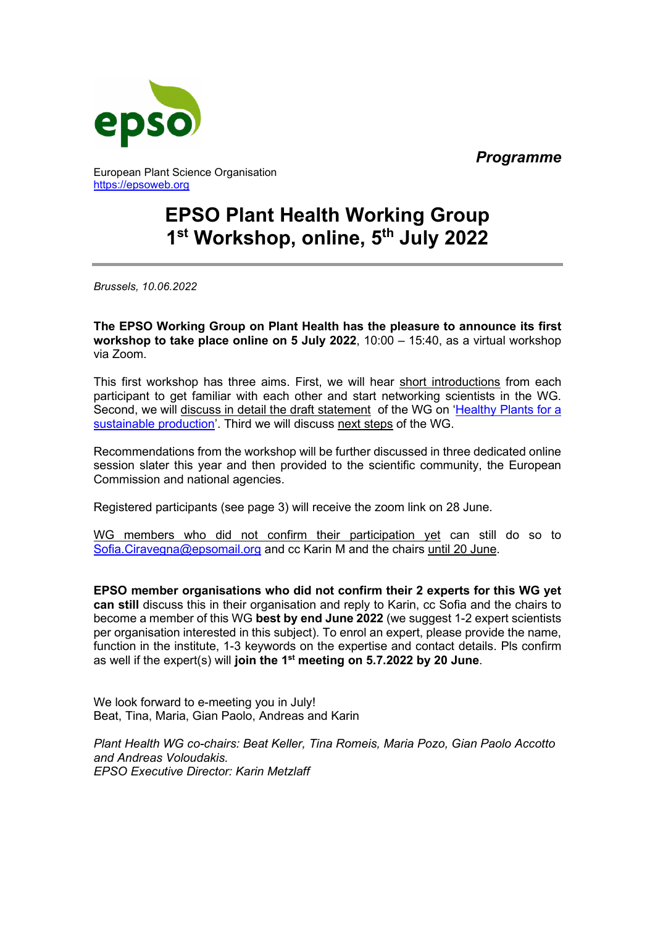*Programme*



European Plant Science Organisation [https://epsoweb.org](https://epsoweb.org/) 

# **EPSO Plant Health Working Group 1 st Workshop, online, 5th July 2022**

*Brussels, 10.06.2022*

**The EPSO Working Group on Plant Health has the pleasure to announce its first workshop to take place online on 5 July 2022**, 10:00 – 15:40, as a virtual workshop via Zoom.

This first workshop has three aims. First, we will hear short introductions from each participant to get familiar with each other and start networking scientists in the WG. Second, we will discuss in detail the draft statement of the WG on ['Healthy Plants for a](https://epsoweb.org/epso/healthy-plants-for-a-sustainable-production-draft-statement-by-the-new-epso-plant-health-working-group/2022/04/05/)  [sustainable production'](https://epsoweb.org/epso/healthy-plants-for-a-sustainable-production-draft-statement-by-the-new-epso-plant-health-working-group/2022/04/05/). Third we will discuss next steps of the WG.

Recommendations from the workshop will be further discussed in three dedicated online session slater this year and then provided to the scientific community, the European Commission and national agencies.

Registered participants (see page 3) will receive the zoom link on 28 June.

WG members who did not confirm their participation yet can still do so to [Sofia.Ciravegna@epsomail.org](mailto:Sofia.Ciravegna@epsomail.org) and cc Karin M and the chairs until 20 June.

**EPSO member organisations who did not confirm their 2 experts for this WG yet can still** discuss this in their organisation and reply to Karin, cc Sofia and the chairs to become a member of this WG **best by end June 2022** (we suggest 1-2 expert scientists per organisation interested in this subject). To enrol an expert, please provide the name, function in the institute, 1-3 keywords on the expertise and contact details. Pls confirm as well if the expert(s) will **join the 1st meeting on 5.7.2022 by 20 June**.

We look forward to e-meeting you in July! Beat, Tina, Maria, Gian Paolo, Andreas and Karin

*Plant Health WG co-chairs: Beat Keller, Tina Romeis, Maria Pozo, Gian Paolo Accotto and Andreas Voloudakis. EPSO Executive Director: Karin Metzlaff*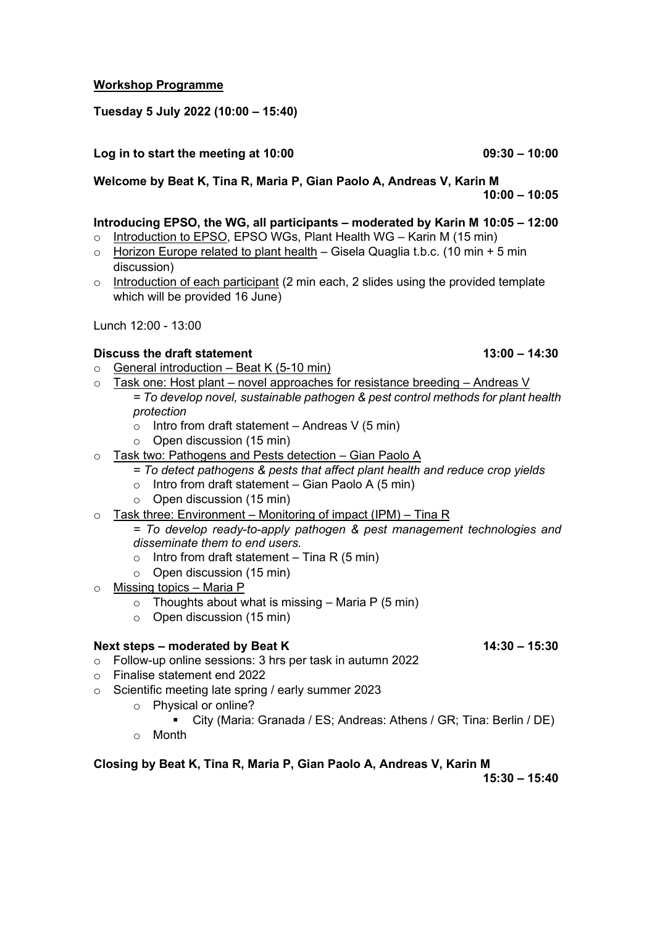# **Workshop Programme**

#### **Tuesday 5 July 2022 (10:00 – 15:40)**

#### **Log in to start the meeting at 10:00 09:30 – 10:00**

**Welcome by Beat K, Tina R, Maria P, Gian Paolo A, Andreas V, Karin M 10:00 – 10:05**

#### **Introducing EPSO, the WG, all participants – moderated by Karin M 10:05 – 12:00**

- $\circ$  Introduction to EPSO, EPSO WGs, Plant Health WG Karin M (15 min)
- $\circ$  Horizon Europe related to plant health Gisela Quaglia t.b.c. (10 min + 5 min discussion)
- $\circ$  Introduction of each participant (2 min each, 2 slides using the provided template which will be provided 16 June)

Lunch 12:00 - 13:00

#### **Discuss the draft statement** 13:00 – 14:30

- $\circ$  General introduction Beat K (5-10 min)
- $\circ$  Task one: Host plant novel approaches for resistance breeding Andreas V *= To develop novel, sustainable pathogen & pest control methods for plant health protection* 
	- $\circ$  Intro from draft statement Andreas V (5 min)
	- o Open discussion (15 min)
- o Task two: Pathogens and Pests detection Gian Paolo A
	- *= To detect pathogens & pests that affect plant health and reduce crop yields*
	- $\circ$  Intro from draft statement Gian Paolo A (5 min)
	- o Open discussion (15 min)
- $\circ$  Task three: Environment Monitoring of impact (IPM) Tina R

## *= To develop ready-to-apply pathogen & pest management technologies and disseminate them to end users.*

- $\circ$  Intro from draft statement Tina R (5 min)
- o Open discussion (15 min)
- o Missing topics Maria P
	- $\circ$  Thoughts about what is missing Maria P (5 min)
	- o Open discussion (15 min)

#### **Next steps – moderated by Beat K 14:30 – 15:30**

- o Follow-up online sessions: 3 hrs per task in autumn 2022
- o Finalise statement end 2022
- o Scientific meeting late spring / early summer 2023
	- o Physical or online?
		- City (Maria: Granada / ES; Andreas: Athens / GR; Tina: Berlin / DE)
	- o Month

## **Closing by Beat K, Tina R, Maria P, Gian Paolo A, Andreas V, Karin M**

**15:30 – 15:40**